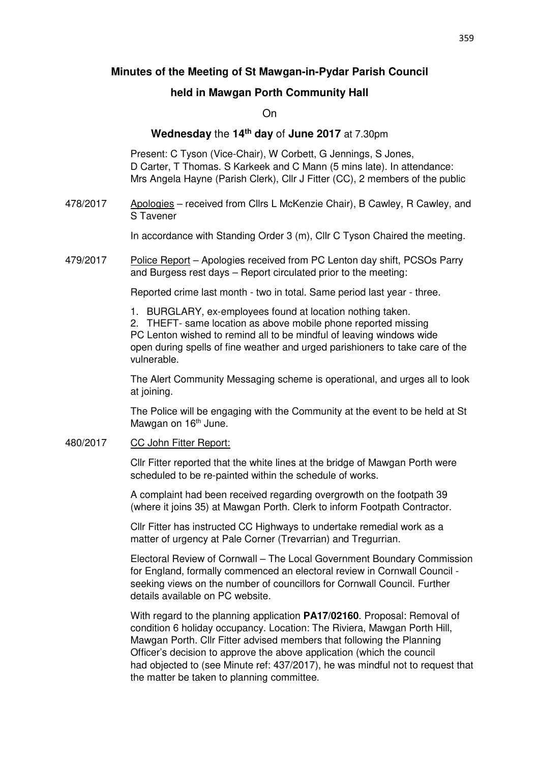# **Minutes of the Meeting of St Mawgan-in-Pydar Parish Council**

## **held in Mawgan Porth Community Hall**

On

### **Wednesday** the **14th day** of **June 2017** at 7.30pm

 Present: C Tyson (Vice-Chair), W Corbett, G Jennings, S Jones, D Carter, T Thomas. S Karkeek and C Mann (5 mins late). In attendance: Mrs Angela Hayne (Parish Clerk), Cllr J Fitter (CC), 2 members of the public

478/2017 Apologies – received from Cllrs L McKenzie Chair), B Cawley, R Cawley, and S Tavener

In accordance with Standing Order 3 (m), Cllr C Tyson Chaired the meeting.

479/2017 Police Report – Apologies received from PC Lenton day shift, PCSOs Parry and Burgess rest days – Report circulated prior to the meeting:

Reported crime last month - two in total. Same period last year - three.

1. BURGLARY, ex-employees found at location nothing taken.

2. THEFT- same location as above mobile phone reported missing PC Lenton wished to remind all to be mindful of leaving windows wide open during spells of fine weather and urged parishioners to take care of the vulnerable.

 The Alert Community Messaging scheme is operational, and urges all to look at joining.

 The Police will be engaging with the Community at the event to be held at St Mawgan on 16<sup>th</sup> June.

480/2017 CC John Fitter Report:

 Cllr Fitter reported that the white lines at the bridge of Mawgan Porth were scheduled to be re-painted within the schedule of works.

 A complaint had been received regarding overgrowth on the footpath 39 (where it joins 35) at Mawgan Porth. Clerk to inform Footpath Contractor.

 Cllr Fitter has instructed CC Highways to undertake remedial work as a matter of urgency at Pale Corner (Trevarrian) and Tregurrian.

 Electoral Review of Cornwall – The Local Government Boundary Commission for England, formally commenced an electoral review in Cornwall Council seeking views on the number of councillors for Cornwall Council. Further details available on PC website.

 With regard to the planning application **PA17/02160**. Proposal: Removal of condition 6 holiday occupancy. Location: The Riviera, Mawgan Porth Hill, Mawgan Porth. Cllr Fitter advised members that following the Planning Officer's decision to approve the above application (which the council had objected to (see Minute ref: 437/2017), he was mindful not to request that the matter be taken to planning committee.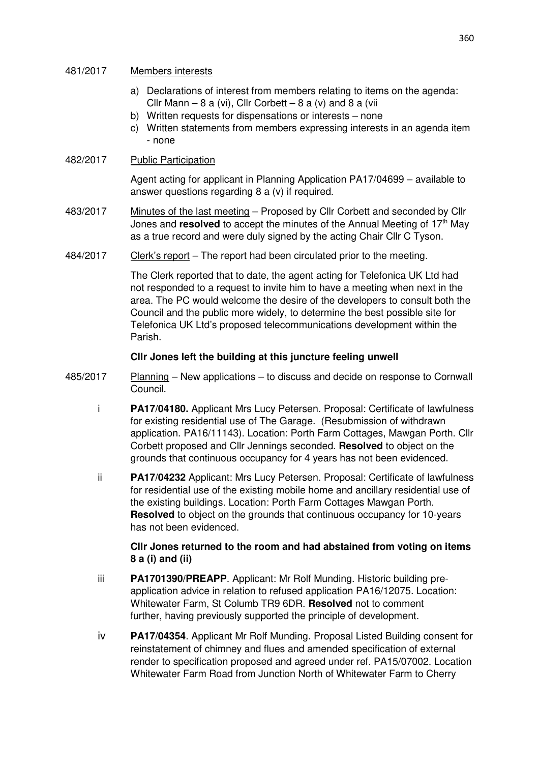#### 481/2017 Members interests

- a) Declarations of interest from members relating to items on the agenda: Cllr Mann – 8 a (vi), Cllr Corbett – 8 a (v) and 8 a (vii
- b) Written requests for dispensations or interests none
- c) Written statements from members expressing interests in an agenda item - none

### 482/2017 Public Participation

 Agent acting for applicant in Planning Application PA17/04699 – available to answer questions regarding 8 a (v) if required.

- 483/2017 Minutes of the last meeting Proposed by Cllr Corbett and seconded by Cllr Jones and **resolved** to accept the minutes of the Annual Meeting of 17<sup>th</sup> May as a true record and were duly signed by the acting Chair Cllr C Tyson.
- 484/2017 Clerk's report The report had been circulated prior to the meeting.

 The Clerk reported that to date, the agent acting for Telefonica UK Ltd had not responded to a request to invite him to have a meeting when next in the area. The PC would welcome the desire of the developers to consult both the Council and the public more widely, to determine the best possible site for Telefonica UK Ltd's proposed telecommunications development within the Parish.

### **Cllr Jones left the building at this juncture feeling unwell**

- 485/2017 Planning New applications to discuss and decide on response to Cornwall Council.
	- i **PA17/04180.** Applicant Mrs Lucy Petersen. Proposal: Certificate of lawfulness for existing residential use of The Garage. (Resubmission of withdrawn application. PA16/11143). Location: Porth Farm Cottages, Mawgan Porth. Cllr Corbett proposed and Cllr Jennings seconded. **Resolved** to object on the grounds that continuous occupancy for 4 years has not been evidenced.
	- ii **PA17/04232** Applicant: Mrs Lucy Petersen. Proposal: Certificate of lawfulness for residential use of the existing mobile home and ancillary residential use of the existing buildings. Location: Porth Farm Cottages Mawgan Porth. **Resolved** to object on the grounds that continuous occupancy for 10-years has not been evidenced.

### **Cllr Jones returned to the room and had abstained from voting on items 8 a (i) and (ii)**

- iii **PA1701390/PREAPP**. Applicant: Mr Rolf Munding. Historic building pre application advice in relation to refused application PA16/12075. Location: Whitewater Farm, St Columb TR9 6DR. **Resolved** not to comment further, having previously supported the principle of development.
- iv **PA17/04354**. Applicant Mr Rolf Munding. Proposal Listed Building consent for reinstatement of chimney and flues and amended specification of external render to specification proposed and agreed under ref. PA15/07002. Location Whitewater Farm Road from Junction North of Whitewater Farm to Cherry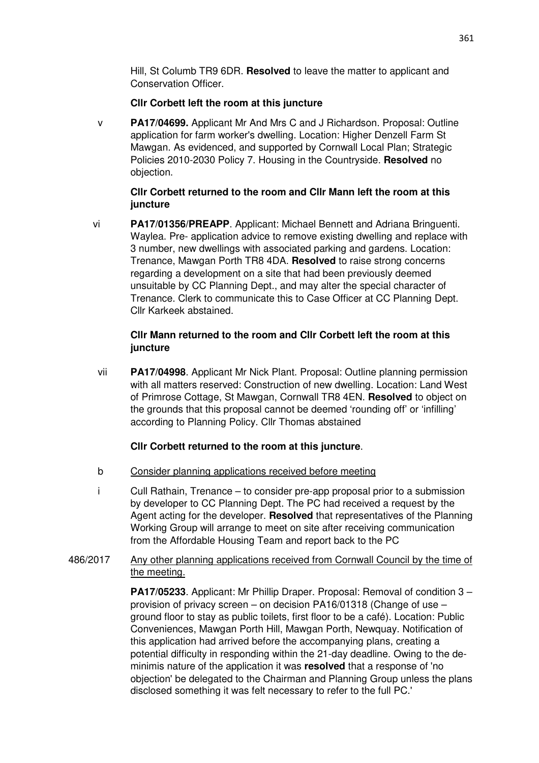Hill, St Columb TR9 6DR. **Resolved** to leave the matter to applicant and Conservation Officer.

### **Cllr Corbett left the room at this juncture**

v **PA17/04699.** Applicant Mr And Mrs C and J Richardson. Proposal: Outline application for farm worker's dwelling. Location: Higher Denzell Farm St Mawgan. As evidenced, and supported by Cornwall Local Plan; Strategic Policies 2010-2030 Policy 7. Housing in the Countryside. **Resolved** no objection.

## **Cllr Corbett returned to the room and Cllr Mann left the room at this juncture**

 vi **PA17/01356/PREAPP**. Applicant: Michael Bennett and Adriana Bringuenti. Waylea. Pre- application advice to remove existing dwelling and replace with 3 number, new dwellings with associated parking and gardens. Location: Trenance, Mawgan Porth TR8 4DA. **Resolved** to raise strong concerns regarding a development on a site that had been previously deemed unsuitable by CC Planning Dept., and may alter the special character of Trenance. Clerk to communicate this to Case Officer at CC Planning Dept. Cllr Karkeek abstained.

## **Cllr Mann returned to the room and Cllr Corbett left the room at this juncture**

 vii **PA17/04998**. Applicant Mr Nick Plant. Proposal: Outline planning permission with all matters reserved: Construction of new dwelling. Location: Land West of Primrose Cottage, St Mawgan, Cornwall TR8 4EN. **Resolved** to object on the grounds that this proposal cannot be deemed 'rounding off' or 'infilling' according to Planning Policy. Cllr Thomas abstained

### **Cllr Corbett returned to the room at this juncture**.

- b Consider planning applications received before meeting
- i Cull Rathain, Trenance to consider pre-app proposal prior to a submission by developer to CC Planning Dept. The PC had received a request by the Agent acting for the developer. **Resolved** that representatives of the Planning Working Group will arrange to meet on site after receiving communication from the Affordable Housing Team and report back to the PC

## 486/2017 Any other planning applications received from Cornwall Council by the time of the meeting.

**PA17/05233**. Applicant: Mr Phillip Draper. Proposal: Removal of condition 3 – provision of privacy screen – on decision PA16/01318 (Change of use – ground floor to stay as public toilets, first floor to be a café). Location: Public Conveniences, Mawgan Porth Hill, Mawgan Porth, Newquay. Notification of this application had arrived before the accompanying plans, creating a potential difficulty in responding within the 21-day deadline. Owing to the deminimis nature of the application it was **resolved** that a response of 'no objection' be delegated to the Chairman and Planning Group unless the plans disclosed something it was felt necessary to refer to the full PC.'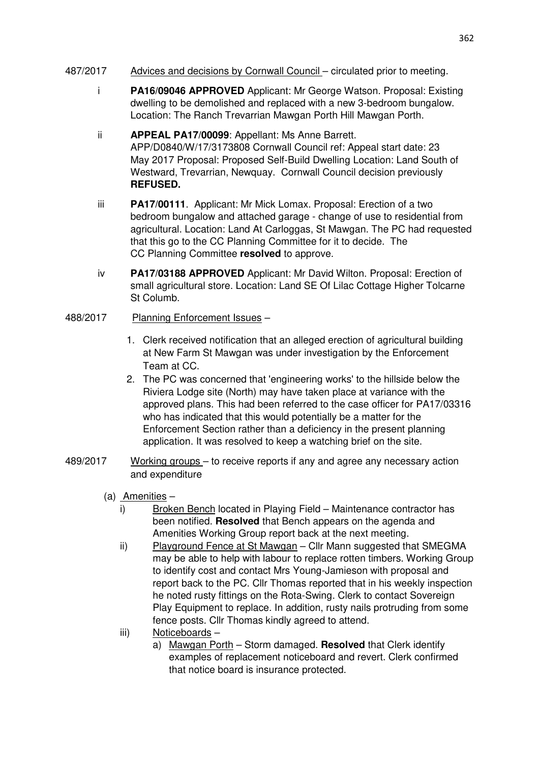- 487/2017 Advices and decisions by Cornwall Council circulated prior to meeting.
	- i **PA16/09046 APPROVED** Applicant: Mr George Watson. Proposal: Existing dwelling to be demolished and replaced with a new 3-bedroom bungalow. Location: The Ranch Trevarrian Mawgan Porth Hill Mawgan Porth.
	- ii **APPEAL PA17/00099**: Appellant: Ms Anne Barrett. APP/D0840/W/17/3173808 Cornwall Council ref: Appeal start date: 23 May 2017 Proposal: Proposed Self-Build Dwelling Location: Land South of Westward, Trevarrian, Newquay. Cornwall Council decision previously **REFUSED.**
	- iii **PA17/00111**. Applicant: Mr Mick Lomax. Proposal: Erection of a two bedroom bungalow and attached garage - change of use to residential from agricultural. Location: Land At Carloggas, St Mawgan. The PC had requested that this go to the CC Planning Committee for it to decide. The CC Planning Committee **resolved** to approve.
	- iv **PA17/03188 APPROVED** Applicant: Mr David Wilton. Proposal: Erection of small agricultural store. Location: Land SE Of Lilac Cottage Higher Tolcarne St Columb.

# 488/2017 Planning Enforcement Issues –

- 1. Clerk received notification that an alleged erection of agricultural building at New Farm St Mawgan was under investigation by the Enforcement Team at CC.
- 2. The PC was concerned that 'engineering works' to the hillside below the Riviera Lodge site (North) may have taken place at variance with the approved plans. This had been referred to the case officer for PA17/03316 who has indicated that this would potentially be a matter for the Enforcement Section rather than a deficiency in the present planning application. It was resolved to keep a watching brief on the site.
- 489/2017 Working groups to receive reports if any and agree any necessary action and expenditure
	- (a) Amenities
		- i) Broken Bench located in Playing Field Maintenance contractor has been notified. **Resolved** that Bench appears on the agenda and Amenities Working Group report back at the next meeting.
		- ii) Playground Fence at St Mawgan Cllr Mann suggested that SMEGMA may be able to help with labour to replace rotten timbers. Working Group to identify cost and contact Mrs Young-Jamieson with proposal and report back to the PC. Cllr Thomas reported that in his weekly inspection he noted rusty fittings on the Rota-Swing. Clerk to contact Sovereign Play Equipment to replace. In addition, rusty nails protruding from some fence posts. Cllr Thomas kindly agreed to attend.
		- iii) Noticeboards
			- a) Mawgan Porth Storm damaged. **Resolved** that Clerk identify examples of replacement noticeboard and revert. Clerk confirmed that notice board is insurance protected.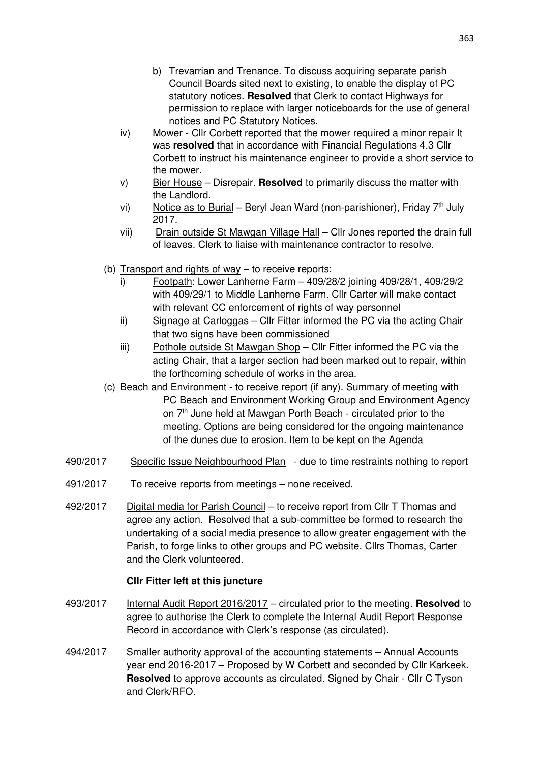- b) Trevarrian and Trenance. To discuss acquiring separate parish Council Boards sited next to existing, to enable the display of PC statutory notices. **Resolved** that Clerk to contact Highways for permission to replace with larger noticeboards for the use of general notices and PC Statutory Notices.
- iv) Mower Cllr Corbett reported that the mower required a minor repair It was **resolved** that in accordance with Financial Regulations 4.3 Cllr Corbett to instruct his maintenance engineer to provide a short service to the mower.
- v) Bier House Disrepair. **Resolved** to primarily discuss the matter with the Landlord.
- vi) Notice as to Burial Beryl Jean Ward (non-parishioner), Friday  $7<sup>th</sup>$  July 2017.
- vii) Drain outside St Mawgan Village Hall Cllr Jones reported the drain full of leaves. Clerk to liaise with maintenance contractor to resolve.
- (b) Transport and rights of way to receive reports:
	- i) Footpath: Lower Lanherne Farm 409/28/2 joining 409/28/1, 409/29/2 with 409/29/1 to Middle Lanherne Farm. Cllr Carter will make contact with relevant CC enforcement of rights of way personnel
	- ii) Signage at Carloggas Cllr Fitter informed the PC via the acting Chair that two signs have been commissioned
	- iii) Pothole outside St Mawgan Shop Cllr Fitter informed the PC via the acting Chair, that a larger section had been marked out to repair, within the forthcoming schedule of works in the area.
- (c) Beach and Environment to receive report (if any). Summary of meeting with PC Beach and Environment Working Group and Environment Agency on 7<sup>th</sup> June held at Mawgan Porth Beach - circulated prior to the meeting. Options are being considered for the ongoing maintenance of the dunes due to erosion. Item to be kept on the Agenda
- 490/2017 Specific Issue Neighbourhood Plan due to time restraints nothing to report
- 491/2017 To receive reports from meetings none received.
- 492/2017 Digital media for Parish Council to receive report from Cllr T Thomas and agree any action. Resolved that a sub-committee be formed to research the undertaking of a social media presence to allow greater engagement with the Parish, to forge links to other groups and PC website. Cllrs Thomas, Carter and the Clerk volunteered.

# **Cllr Fitter left at this juncture**

- 493/2017 Internal Audit Report 2016/2017 circulated prior to the meeting. **Resolved** to agree to authorise the Clerk to complete the Internal Audit Report Response Record in accordance with Clerk's response (as circulated).
- 494/2017 Smaller authority approval of the accounting statements Annual Accounts year end 2016-2017 – Proposed by W Corbett and seconded by Cllr Karkeek. **Resolved** to approve accounts as circulated. Signed by Chair - Cllr C Tyson and Clerk/RFO.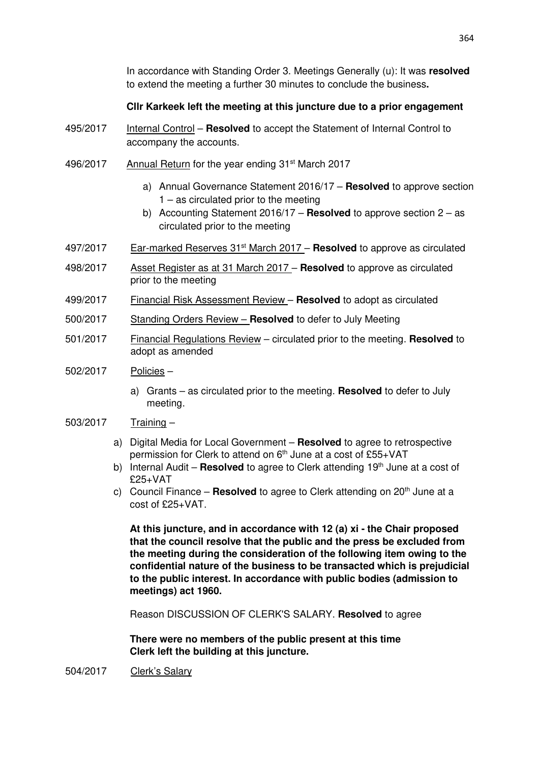In accordance with Standing Order 3. Meetings Generally (u): It was **resolved**  to extend the meeting a further 30 minutes to conclude the business**.** 

### **Cllr Karkeek left the meeting at this juncture due to a prior engagement**

- 495/2017 Internal Control **Resolved** to accept the Statement of Internal Control to accompany the accounts.
- 496/2017 Annual Return for the year ending 31st March 2017
	- a) Annual Governance Statement 2016/17 **Resolved** to approve section 1 – as circulated prior to the meeting
	- b) Accounting Statement 2016/17 **Resolved** to approve section 2 as circulated prior to the meeting
- 497/2017 Ear-marked Reserves 31st March 2017 **Resolved** to approve as circulated
- 498/2017 Asset Register as at 31 March 2017 **Resolved** to approve as circulated prior to the meeting
- 499/2017 Financial Risk Assessment Review **Resolved** to adopt as circulated
- 500/2017 Standing Orders Review **Resolved** to defer to July Meeting
- 501/2017 Financial Regulations Review circulated prior to the meeting. **Resolved** to adopt as amended
- 502/2017 Policies
	- a) Grants as circulated prior to the meeting. **Resolved** to defer to July meeting.
- 503/2017 Training
	- a) Digital Media for Local Government **Resolved** to agree to retrospective permission for Clerk to attend on 6<sup>th</sup> June at a cost of £55+VAT
	- b) Internal Audit **Resolved** to agree to Clerk attending 19<sup>th</sup> June at a cost of £25+VAT
	- c) Council Finance **Resolved** to agree to Clerk attending on 20<sup>th</sup> June at a  $cost of f25+VAT$

**At this juncture, and in accordance with 12 (a) xi - the Chair proposed that the council resolve that the public and the press be excluded from the meeting during the consideration of the following item owing to the confidential nature of the business to be transacted which is prejudicial to the public interest. In accordance with public bodies (admission to meetings) act 1960.** 

Reason DISCUSSION OF CLERK'S SALARY. **Resolved** to agree

**There were no members of the public present at this time Clerk left the building at this juncture.** 

504/2017 Clerk's Salary